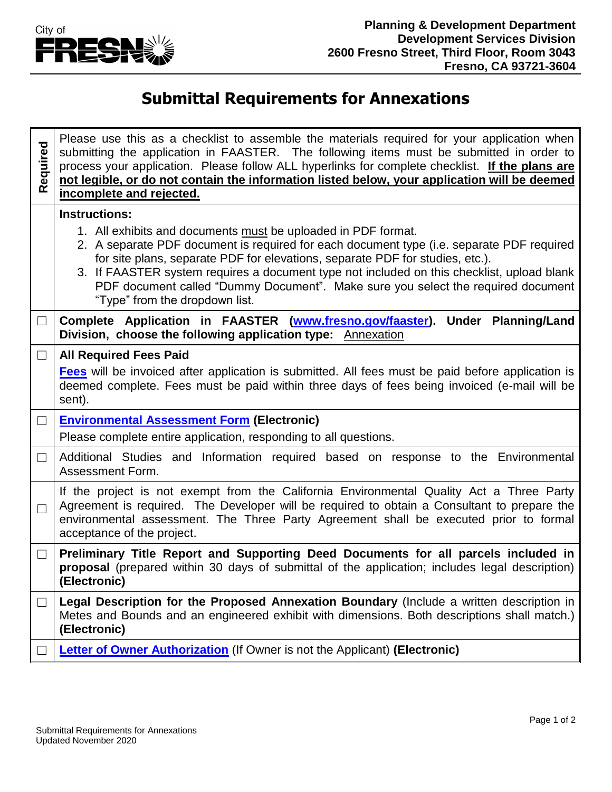

## **Submittal Requirements for Annexations**

| Required | Please use this as a checklist to assemble the materials required for your application when<br>submitting the application in FAASTER. The following items must be submitted in order to<br>process your application. Please follow ALL hyperlinks for complete checklist. If the plans are<br>not legible, or do not contain the information listed below, your application will be deemed<br>incomplete and rejected. |  |  |
|----------|------------------------------------------------------------------------------------------------------------------------------------------------------------------------------------------------------------------------------------------------------------------------------------------------------------------------------------------------------------------------------------------------------------------------|--|--|
|          | <b>Instructions:</b><br>1. All exhibits and documents must be uploaded in PDF format.<br>2. A separate PDF document is required for each document type (i.e. separate PDF required                                                                                                                                                                                                                                     |  |  |
|          | for site plans, separate PDF for elevations, separate PDF for studies, etc.).<br>3. If FAASTER system requires a document type not included on this checklist, upload blank<br>PDF document called "Dummy Document". Make sure you select the required document<br>"Type" from the dropdown list.                                                                                                                      |  |  |
| $\Box$   | Complete Application in FAASTER (www.fresno.gov/faaster). Under Planning/Land<br>Division, choose the following application type: Annexation                                                                                                                                                                                                                                                                           |  |  |
| $\Box$   | <b>All Required Fees Paid</b>                                                                                                                                                                                                                                                                                                                                                                                          |  |  |
|          | <b>Fees</b> will be invoiced after application is submitted. All fees must be paid before application is<br>deemed complete. Fees must be paid within three days of fees being invoiced (e-mail will be<br>sent).                                                                                                                                                                                                      |  |  |
| $\Box$   | <b>Environmental Assessment Form (Electronic)</b>                                                                                                                                                                                                                                                                                                                                                                      |  |  |
|          | Please complete entire application, responding to all questions.                                                                                                                                                                                                                                                                                                                                                       |  |  |
| ⊔        | Additional Studies and Information required based on response to the Environmental<br>Assessment Form.                                                                                                                                                                                                                                                                                                                 |  |  |
| $\Box$   | If the project is not exempt from the California Environmental Quality Act a Three Party<br>Agreement is required. The Developer will be required to obtain a Consultant to prepare the<br>environmental assessment. The Three Party Agreement shall be executed prior to formal<br>acceptance of the project.                                                                                                         |  |  |
| $\Box$   | Preliminary Title Report and Supporting Deed Documents for all parcels included in<br>proposal (prepared within 30 days of submittal of the application; includes legal description)<br>(Electronic)                                                                                                                                                                                                                   |  |  |
| $\Box$   | Legal Description for the Proposed Annexation Boundary (Include a written description in<br>Metes and Bounds and an engineered exhibit with dimensions. Both descriptions shall match.)<br>(Electronic)                                                                                                                                                                                                                |  |  |
|          | Letter of Owner Authorization (If Owner is not the Applicant) (Electronic)                                                                                                                                                                                                                                                                                                                                             |  |  |